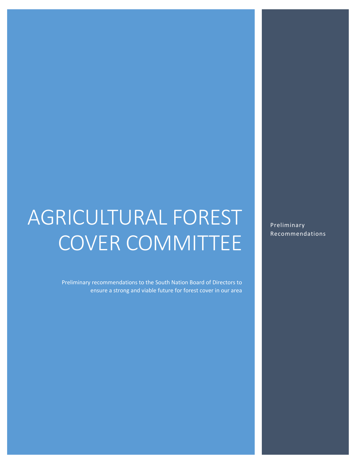# AGRICULTURAL FOREST COVER COMMITTEE

Preliminary recommendations to the South Nation Board of Directors to ensure a strong and viable future for forest cover in our area

Preliminary Recommendations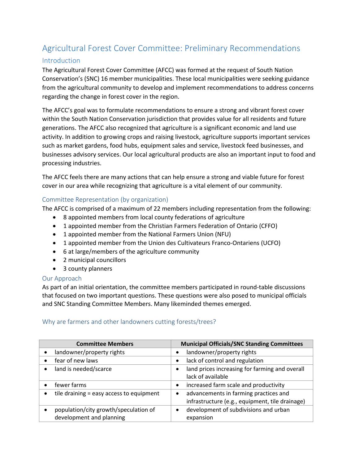# Agricultural Forest Cover Committee: Preliminary Recommendations

# Introduction

The Agricultural Forest Cover Committee (AFCC) was formed at the request of South Nation Conservation's (SNC) 16 member municipalities. These local municipalities were seeking guidance from the agricultural community to develop and implement recommendations to address concerns regarding the change in forest cover in the region.

The AFCC's goal was to formulate recommendations to ensure a strong and vibrant forest cover within the South Nation Conservation jurisdiction that provides value for all residents and future generations. The AFCC also recognized that agriculture is a significant economic and land use activity. In addition to growing crops and raising livestock, agriculture supports important services such as market gardens, food hubs, equipment sales and service, livestock feed businesses, and businesses advisory services. Our local agricultural products are also an important input to food and processing industries.

The AFCC feels there are many actions that can help ensure a strong and viable future for forest cover in our area while recognizing that agriculture is a vital element of our community.

# Committee Representation (by organization)

The AFCC is comprised of a maximum of 22 members including representation from the following:

- 8 appointed members from local county federations of agriculture
- 1 appointed member from the Christian Farmers Federation of Ontario (CFFO)
- 1 appointed member from the National Farmers Union (NFU)
- 1 appointed member from the Union des Cultivateurs Franco-Ontariens (UCFO)
- 6 at large/members of the agriculture community
- 2 municipal councillors
- 3 county planners

#### Our Approach

As part of an initial orientation, the committee members participated in round-table discussions that focused on two important questions. These questions were also posed to municipal officials and SNC Standing Committee Members. Many likeminded themes emerged.

# Why are farmers and other landowners cutting forests/trees?

| <b>Committee Members</b>                                          | <b>Municipal Officials/SNC Standing Committees</b>                                                    |
|-------------------------------------------------------------------|-------------------------------------------------------------------------------------------------------|
| landowner/property rights                                         | landowner/property rights<br>$\bullet$                                                                |
| fear of new laws                                                  | lack of control and regulation<br>$\bullet$                                                           |
| land is needed/scarce                                             | land prices increasing for farming and overall<br>$\bullet$<br>lack of available                      |
| fewer farms                                                       | increased farm scale and productivity<br>$\bullet$                                                    |
| tile draining = easy access to equipment                          | advancements in farming practices and<br>$\bullet$<br>infrastructure (e.g., equipment, tile drainage) |
| population/city growth/speculation of<br>development and planning | development of subdivisions and urban<br>$\bullet$<br>expansion                                       |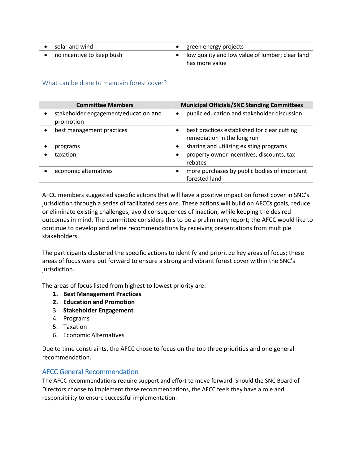| solar and wind            | $\bullet$ green energy projects                 |
|---------------------------|-------------------------------------------------|
| no incentive to keep bush | low quality and low value of lumber; clear land |
|                           | has more value                                  |

What can be done to maintain forest cover?

| <b>Committee Members</b>                          | <b>Municipal Officials/SNC Standing Committees</b>                                       |
|---------------------------------------------------|------------------------------------------------------------------------------------------|
| stakeholder engagement/education and<br>promotion | public education and stakeholder discussion<br>$\bullet$                                 |
| best management practices                         | best practices established for clear cutting<br>$\bullet$<br>remediation in the long run |
| programs                                          | sharing and utilizing existing programs<br>$\bullet$                                     |
| taxation                                          | property owner incentives, discounts, tax<br>٠<br>rebates                                |
| economic alternatives                             | more purchases by public bodies of important<br>$\bullet$<br>forested land               |

AFCC members suggested specific actions that will have a positive impact on forest cover in SNC's jurisdiction through a series of facilitated sessions. These actions will build on AFCCs goals, reduce or eliminate existing challenges, avoid consequences of inaction, while keeping the desired outcomes in mind. The committee considers this to be a preliminary report; the AFCC would like to continue to develop and refine recommendations by receiving presentations from multiple stakeholders.

The participants clustered the specific actions to identify and prioritize key areas of focus; these areas of focus were put forward to ensure a strong and vibrant forest cover within the SNC's jurisdiction.

The areas of focus listed from highest to lowest priority are:

- **1. Best Management Practices**
- **2. Education and Promotion**
- 3. **Stakeholder Engagement**
- 4. Programs
- 5. Taxation
- 6. Economic Alternatives

Due to time constraints, the AFCC chose to focus on the top three priorities and one general recommendation.

# AFCC General Recommendation

The AFCC recommendations require support and effort to move forward. Should the SNC Board of Directors choose to implement these recommendations, the AFCC feels they have a role and responsibility to ensure successful implementation.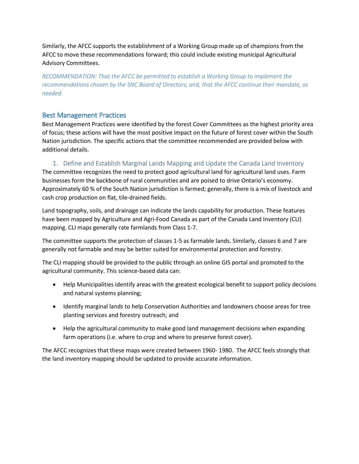Similarly, the AFCC supports the establishment of a Working Group made up of champions from the AFCC to move these recommendations forward; this could include existing municipal Agricultural Advisory Committees.

*RECOMMENDATION: That the AFCC be permitted to establish a Working Group to implement the recommendations chosen by the SNC Board of Directors; and, that the AFCC continue their mandate, as needed.*

# Best Management Practices

Best Management Practices were identified by the forest Cover Committees as the highest priority area of focus; these actions will have the most positive impact on the future of forest cover within the South Nation jurisdiction. The specific actions that the committee recommended are provided below with additional details.

#### 1. Define and Establish Marginal Lands Mapping and Update the Canada Land Inventory

The committee recognizes the need to protect good agricultural land for agricultural land uses. Farm businesses form the backbone of rural communities and are poised to drive Ontario's economy. Approximately 60 % of the South Nation jurisdiction is farmed; generally, there is a mix of livestock and cash crop production on flat, tile-drained fields.

Land topography, soils, and drainage can indicate the lands capability for production. These features have been mapped by Agriculture and Agri-Food Canada as part of the Canada Land Inventory (CLI) mapping. CLI maps generally rate farmlands from Class 1-7.

The committee supports the protection of classes 1-5 as farmable lands. Similarly, classes 6 and 7 are generally not farmable and may be better suited for environmental protection and forestry.

The CLI mapping should be provided to the public through an online GIS portal and promoted to the agricultural community. This science-based data can:

- Help Municipalities identify areas with the greatest ecological benefit to support policy decisions and natural systems planning;
- Identify marginal lands to help Conservation Authorities and landowners choose areas for tree planting services and forestry outreach; and
- Help the agricultural community to make good land management decisions when expanding farm operations (i.e. where to crop and where to preserve forest cover).

The AFCC recognizes that these maps were created between 1960- 1980. The AFCC feels strongly that the land inventory mapping should be updated to provide accurate information.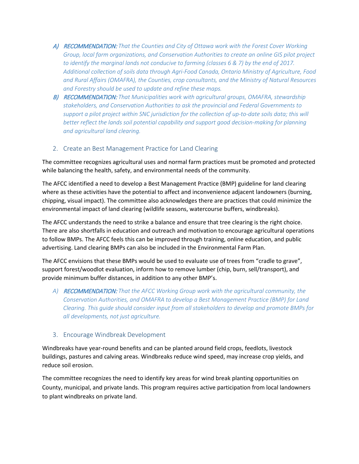- A) RECOMMENDATION: *That the Counties and City of Ottawa work with the Forest Cover Working Group, local farm organizations, and Conservation Authorities to create an online GIS pilot project to identify the marginal lands not conducive to farming (classes 6 & 7) by the end of 2017. Additional collection of soils data through Agri-Food Canada, Ontario Ministry of Agriculture, Food and Rural Affairs (OMAFRA), the Counties, crop consultants, and the Ministry of Natural Resources and Forestry should be used to update and refine these maps.*
- B) RECOMMENDATION: *That Municipalities work with agricultural groups, OMAFRA, stewardship stakeholders, and Conservation Authorities to ask the provincial and Federal Governments to support a pilot project within SNC jurisdiction for the collection of up-to-date soils data; this will*  better reflect the lands soil potential capability and support good decision-making for planning *and agricultural land clearing.*

#### 2. Create an Best Management Practice for Land Clearing

The committee recognizes agricultural uses and normal farm practices must be promoted and protected while balancing the health, safety, and environmental needs of the community.

The AFCC identified a need to develop a Best Management Practice (BMP) guideline for land clearing where as these activities have the potential to affect and inconvenience adjacent landowners (burning, chipping, visual impact). The committee also acknowledges there are practices that could minimize the environmental impact of land clearing (wildlife seasons, watercourse buffers, windbreaks).

The AFCC understands the need to strike a balance and ensure that tree clearing is the right choice. There are also shortfalls in education and outreach and motivation to encourage agricultural operations to follow BMPs. The AFCC feels this can be improved through training, online education, and public advertising. Land clearing BMPs can also be included in the Environmental Farm Plan.

The AFCC envisions that these BMPs would be used to evaluate use of trees from "cradle to grave", support forest/woodlot evaluation, inform how to remove lumber (chip, burn, sell/transport), and provide minimum buffer distances, in addition to any other BMP's.

*A)* RECOMMENDATION: *That the AFCC Working Group work with the agricultural community, the Conservation Authorities, and OMAFRA to develop a Best Management Practice (BMP) for Land Clearing. This guide should consider input from all stakeholders to develop and promote BMPs for all developments, not just agriculture.*

#### 3. Encourage Windbreak Development

Windbreaks have year-round benefits and can be planted around field crops, feedlots, livestock buildings, pastures and calving areas. Windbreaks reduce wind speed, may increase crop yields, and reduce soil erosion.

The committee recognizes the need to identify key areas for wind break planting opportunities on County, municipal, and private lands. This program requires active participation from local landowners to plant windbreaks on private land.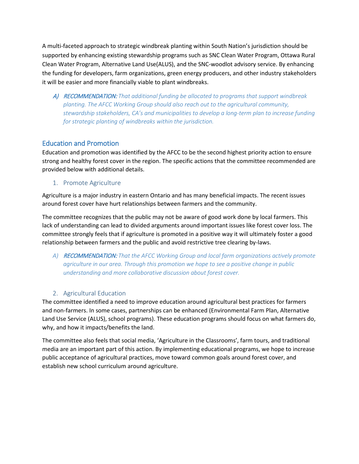A multi-faceted approach to strategic windbreak planting within South Nation's jurisdiction should be supported by enhancing existing stewardship programs such as SNC Clean Water Program, Ottawa Rural Clean Water Program, Alternative Land Use(ALUS), and the SNC-woodlot advisory service. By enhancing the funding for developers, farm organizations, green energy producers, and other industry stakeholders it will be easier and more financially viable to plant windbreaks.

A) RECOMMENDATION: *That additional funding be allocated to programs that support windbreak planting. The AFCC Working Group should also reach out to the agricultural community, stewardship stakeholders, CA's and municipalities to develop a long-term plan to increase funding for strategic planting of windbreaks within the jurisdiction.*

# Education and Promotion

Education and promotion was identified by the AFCC to be the second highest priority action to ensure strong and healthy forest cover in the region. The specific actions that the committee recommended are provided below with additional details.

#### 1. Promote Agriculture

Agriculture is a major industry in eastern Ontario and has many beneficial impacts. The recent issues around forest cover have hurt relationships between farmers and the community.

The committee recognizes that the public may not be aware of good work done by local farmers. This lack of understanding can lead to divided arguments around important issues like forest cover loss. The committee strongly feels that if agriculture is promoted in a positive way it will ultimately foster a good relationship between farmers and the public and avoid restrictive tree clearing by-laws.

*A)* RECOMMENDATION: *That the AFCC Working Group and local farm organizations actively promote agriculture in our area. Through this promotion we hope to see a positive change in public understanding and more collaborative discussion about forest cover.*

# 2. Agricultural Education

The committee identified a need to improve education around agricultural best practices for farmers and non-farmers. In some cases, partnerships can be enhanced (Environmental Farm Plan, Alternative Land Use Service (ALUS), school programs). These education programs should focus on what farmers do, why, and how it impacts/benefits the land.

The committee also feels that social media, 'Agriculture in the Classrooms', farm tours, and traditional media are an important part of this action. By implementing educational programs, we hope to increase public acceptance of agricultural practices, move toward common goals around forest cover, and establish new school curriculum around agriculture.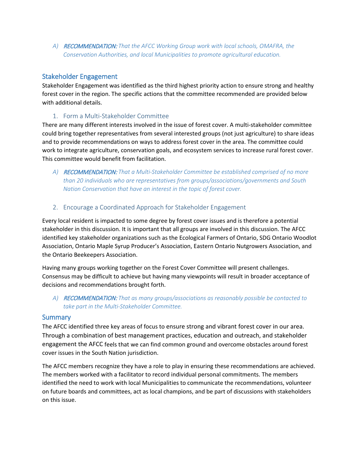*A)* RECOMMENDATION: *That the AFCC Working Group work with local schools, OMAFRA, the Conservation Authorities, and local Municipalities to promote agricultural education.*

## Stakeholder Engagement

Stakeholder Engagement was identified as the third highest priority action to ensure strong and healthy forest cover in the region. The specific actions that the committee recommended are provided below with additional details.

#### 1. Form a Multi-Stakeholder Committee

There are many different interests involved in the issue of forest cover. A multi-stakeholder committee could bring together representatives from several interested groups (not just agriculture) to share ideas and to provide recommendations on ways to address forest cover in the area. The committee could work to integrate agriculture, conservation goals, and ecosystem services to increase rural forest cover. This committee would benefit from facilitation.

- *A)* RECOMMENDATION: *That a Multi-Stakeholder Committee be established comprised of no more than 20 individuals who are representatives from groups/associations/governments and South Nation Conservation that have an interest in the topic of forest cover.*
- 2. Encourage a Coordinated Approach for Stakeholder Engagement

Every local resident is impacted to some degree by forest cover issues and is therefore a potential stakeholder in this discussion. It is important that all groups are involved in this discussion. The AFCC identified key stakeholder organizations such as the Ecological Farmers of Ontario, SDG Ontario Woodlot Association, Ontario Maple Syrup Producer's Association, Eastern Ontario Nutgrowers Association, and the Ontario Beekeepers Association.

Having many groups working together on the Forest Cover Committee will present challenges. Consensus may be difficult to achieve but having many viewpoints will result in broader acceptance of decisions and recommendations brought forth.

*A)* RECOMMENDATION: *That as many groups/associations as reasonably possible be contacted to take part in the Multi-Stakeholder Committee.*

#### **Summary**

The AFCC identified three key areas of focus to ensure strong and vibrant forest cover in our area. Through a combination of best management practices, education and outreach, and stakeholder engagement the AFCC feels that we can find common ground and overcome obstacles around forest cover issues in the South Nation jurisdiction.

The AFCC members recognize they have a role to play in ensuring these recommendations are achieved. The members worked with a facilitator to record individual personal commitments. The members identified the need to work with local Municipalities to communicate the recommendations, volunteer on future boards and committees, act as local champions, and be part of discussions with stakeholders on this issue.